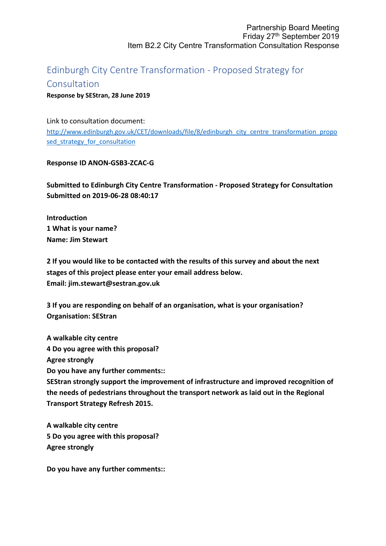## Edinburgh City Centre Transformation - Proposed Strategy for

## Consultation

**Response by SEStran, 28 June 2019**

Link to consultation document:

[http://www.edinburgh.gov.uk/CET/downloads/file/8/edinburgh\\_city\\_centre\\_transformation\\_propo](http://www.edinburgh.gov.uk/CET/downloads/file/8/edinburgh_city_centre_transformation_proposed_strategy_for_consultation) sed strategy for consultation

**Response ID ANON-GSB3-ZCAC-G**

**Submitted to Edinburgh City Centre Transformation - Proposed Strategy for Consultation Submitted on 2019-06-28 08:40:17**

**Introduction 1 What is your name? Name: Jim Stewart**

**2 If you would like to be contacted with the results of this survey and about the next stages of this project please enter your email address below. Email: jim.stewart@sestran.gov.uk**

**3 If you are responding on behalf of an organisation, what is your organisation? Organisation: SEStran**

**A walkable city centre 4 Do you agree with this proposal? Agree strongly Do you have any further comments:: SEStran strongly support the improvement of infrastructure and improved recognition of the needs of pedestrians throughout the transport network as laid out in the Regional Transport Strategy Refresh 2015.**

**A walkable city centre 5 Do you agree with this proposal? Agree strongly**

**Do you have any further comments::**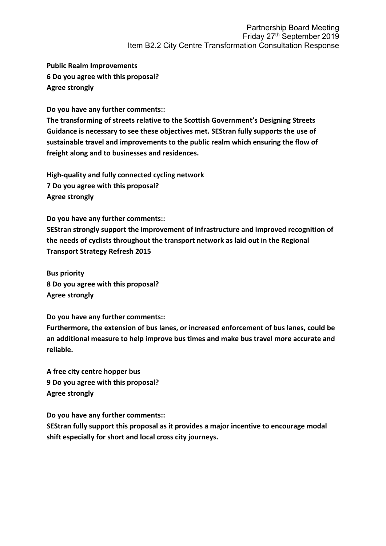**Public Realm Improvements 6 Do you agree with this proposal? Agree strongly**

**Do you have any further comments::**

**The transforming of streets relative to the Scottish Government's Designing Streets Guidance is necessary to see these objectives met. SEStran fully supports the use of sustainable travel and improvements to the public realm which ensuring the flow of freight along and to businesses and residences.**

**High-quality and fully connected cycling network 7 Do you agree with this proposal? Agree strongly**

**Do you have any further comments::**

**SEStran strongly support the improvement of infrastructure and improved recognition of the needs of cyclists throughout the transport network as laid out in the Regional Transport Strategy Refresh 2015**

**Bus priority 8 Do you agree with this proposal? Agree strongly**

**Do you have any further comments::**

**Furthermore, the extension of bus lanes, or increased enforcement of bus lanes, could be an additional measure to help improve bus times and make bus travel more accurate and reliable.**

**A free city centre hopper bus 9 Do you agree with this proposal? Agree strongly**

**Do you have any further comments::**

**SEStran fully support this proposal as it provides a major incentive to encourage modal shift especially for short and local cross city journeys.**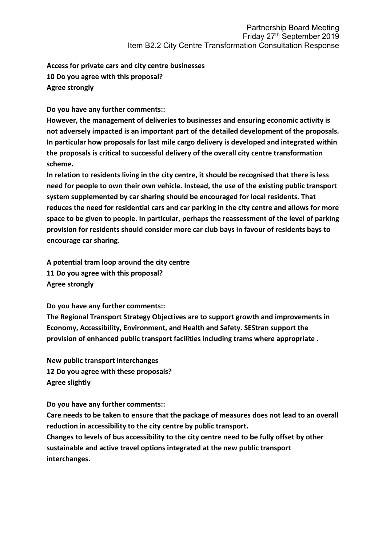**Access for private cars and city centre businesses 10 Do you agree with this proposal? Agree strongly**

**Do you have any further comments::**

**However, the management of deliveries to businesses and ensuring economic activity is not adversely impacted is an important part of the detailed development of the proposals. In particular how proposals for last mile cargo delivery is developed and integrated within the proposals is critical to successful delivery of the overall city centre transformation scheme.**

**In relation to residents living in the city centre, it should be recognised that there is less need for people to own their own vehicle. Instead, the use of the existing public transport system supplemented by car sharing should be encouraged for local residents. That reduces the need for residential cars and car parking in the city centre and allows for more space to be given to people. In particular, perhaps the reassessment of the level of parking provision for residents should consider more car club bays in favour of residents bays to encourage car sharing.**

**A potential tram loop around the city centre 11 Do you agree with this proposal? Agree strongly**

**Do you have any further comments::**

**The Regional Transport Strategy Objectives are to support growth and improvements in Economy, Accessibility, Environment, and Health and Safety. SEStran support the provision of enhanced public transport facilities including trams where appropriate .**

**New public transport interchanges 12 Do you agree with these proposals? Agree slightly**

**Do you have any further comments::**

**Care needs to be taken to ensure that the package of measures does not lead to an overall reduction in accessibility to the city centre by public transport.**

**Changes to levels of bus accessibility to the city centre need to be fully offset by other sustainable and active travel options integrated at the new public transport interchanges.**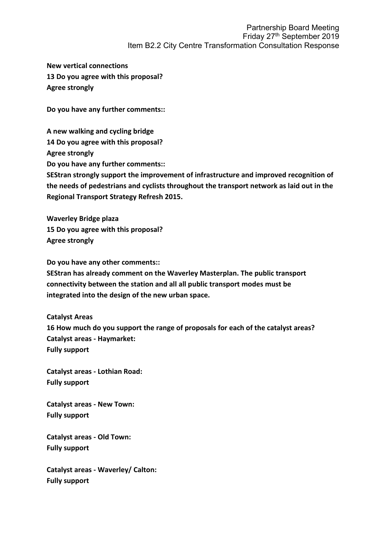**New vertical connections 13 Do you agree with this proposal? Agree strongly**

**Do you have any further comments::**

**A new walking and cycling bridge 14 Do you agree with this proposal? Agree strongly Do you have any further comments:: SEStran strongly support the improvement of infrastructure and improved recognition of the needs of pedestrians and cyclists throughout the transport network as laid out in the Regional Transport Strategy Refresh 2015.**

**Waverley Bridge plaza 15 Do you agree with this proposal? Agree strongly**

**Do you have any other comments::**

**SEStran has already comment on the Waverley Masterplan. The public transport connectivity between the station and all all public transport modes must be integrated into the design of the new urban space.**

**Catalyst Areas 16 How much do you support the range of proposals for each of the catalyst areas? Catalyst areas - Haymarket: Fully support**

**Catalyst areas - Lothian Road: Fully support**

**Catalyst areas - New Town: Fully support**

**Catalyst areas - Old Town: Fully support**

**Catalyst areas - Waverley/ Calton: Fully support**